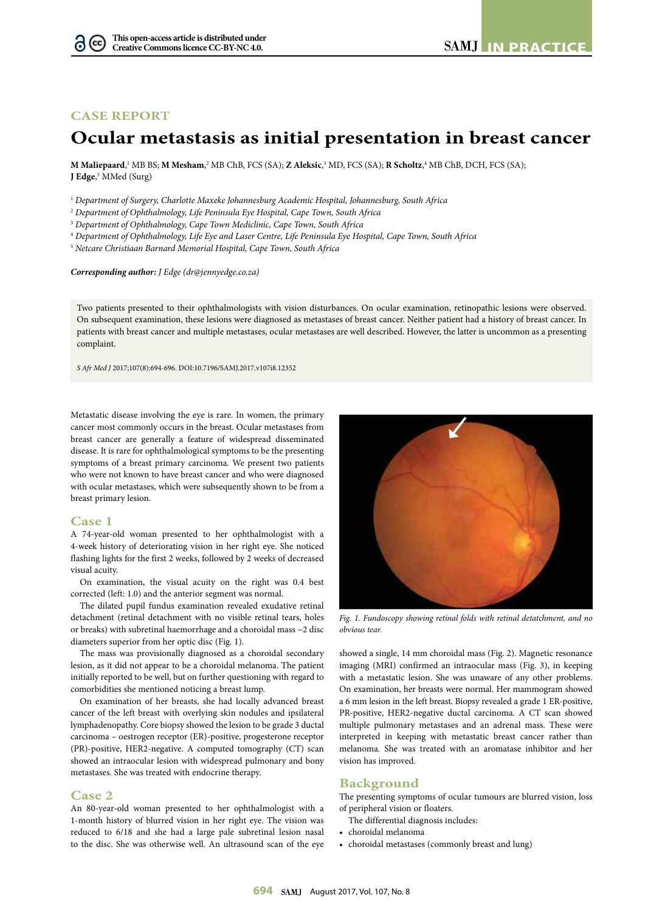## **CASE REPORT**

# **Ocular metastasis as initial presentation in breast cancer**

**M Maliepaard**, 1 MB BS; **M Mesham**, 2 MB ChB, FCS (SA); **Z Aleksic**, 3 MD, FCS (SA); **R Scholtz**, 4 MB ChB, DCH, FCS (SA); **J Edge**, 5 MMed (Surg)

<sup>1</sup> *Department of Surgery, Charlotte Maxeke Johannesburg Academic Hospital, Johannesburg, South Africa*

<sup>2</sup> *Department of Ophthalmology, Life Peninsula Eye Hospital, Cape Town, South Africa*

<sup>3</sup> *Department of Ophthalmology, Cape Town Mediclinic, Cape Town, South Africa*

<sup>4</sup> *Department of Ophthalmology, Life Eye and Laser Centre, Life Peninsula Eye Hospital, Cape Town, South Africa*

<sup>5</sup> *Netcare Christiaan Barnard Memorial Hospital, Cape Town, South Africa*

*Corresponding author: J Edge ([dr@jennyedge.co.za\)](mailto:dr@jennyedge.co.za)*

Two patients presented to their ophthalmologists with vision disturbances. On ocular examination, retinopathic lesions were observed. On subsequent examination, these lesions were diagnosed as metastases of breast cancer. Neither patient had a history of breast cancer. In patients with breast cancer and multiple metastases, ocular metastases are well described. However, the latter is uncommon as a presenting complaint.

*S Afr Med J* 2017;107(8):694-696. DOI[:10.7196/SAMJ.](10.7196/SAMJ)2017.v107i8.12352

Metastatic disease involving the eye is rare. In women, the primary cancer most commonly occurs in the breast. Ocular metastases from breast cancer are generally a feature of widespread disseminated disease. It is rare for ophthalmological symptoms to be the presenting symptoms of a breast primary carcinoma. We present two patients who were not known to have breast cancer and who were diagnosed with ocular metastases, which were subsequently shown to be from a breast primary lesion.

#### **Case 1**

A 74-year-old woman presented to her ophthalmologist with a 4-week history of deteriorating vision in her right eye. She noticed flashing lights for the first 2 weeks, followed by 2 weeks of decreased visual acuity.

On examination, the visual acuity on the right was 0.4 best corrected (left: 1.0) and the anterior segment was normal.

The dilated pupil fundus examination revealed exudative retinal detachment (retinal detachment with no visible retinal tears, holes or breaks) with subretinal haemorrhage and a choroidal mass ~2 disc diameters superior from her optic disc (Fig. 1).

The mass was provisionally diagnosed as a choroidal secondary lesion, as it did not appear to be a choroidal melanoma. The patient initially reported to be well, but on further questioning with regard to comorbidities she mentioned noticing a breast lump.

On examination of her breasts, she had locally advanced breast cancer of the left breast with overlying skin nodules and ipsilateral lymphadenopathy. Core biopsy showed the lesion to be grade 3 ductal carcinoma – oestrogen receptor (ER)-positive, progesterone receptor (PR)-positive, HER2-negative. A computed tomography (CT) scan showed an intraocular lesion with widespread pulmonary and bony metastases. She was treated with endocrine therapy.

### **Case 2**

An 80-year-old woman presented to her ophthalmologist with a 1-month history of blurred vision in her right eye. The vision was reduced to 6/18 and she had a large pale subretinal lesion nasal to the disc. She was otherwise well. An ultrasound scan of the eye



*Fig. 1. Fundoscopy showing retinal folds with retinal detatchment, and no obvious tear.*

showed a single, 14 mm choroidal mass (Fig. 2). Magnetic resonance imaging (MRI) confirmed an intraocular mass (Fig. 3), in keeping with a metastatic lesion. She was unaware of any other problems. On examination, her breasts were normal. Her mammogram showed a 6 mm lesion in the left breast. Biopsy revealed a grade 1 ER-positive, PR-positive, HER2-negative ductal carcinoma. A CT scan showed multiple pulmonary metastases and an adrenal mass. These were interpreted in keeping with metastatic breast cancer rather than melanoma. She was treated with an aromatase inhibitor and her vision has improved.

## **Background**

The presenting symptoms of ocular tumours are blurred vision, loss of peripheral vision or floaters.

- The differential diagnosis includes:
- choroidal melanoma
- choroidal metastases (commonly breast and lung)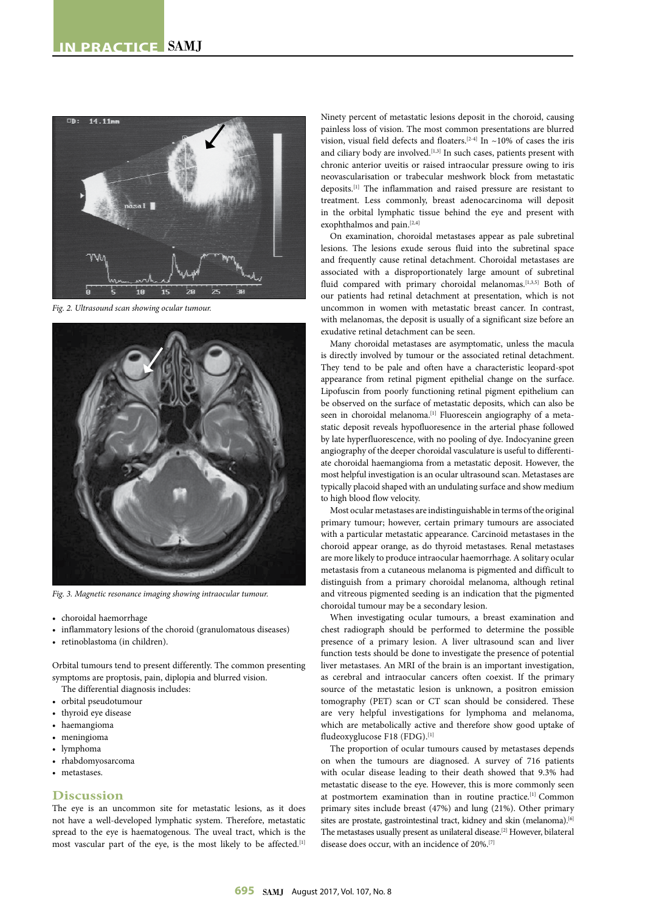

*Fig. 2. Ultrasound scan showing ocular tumour.*



*Fig. 3. Magnetic resonance imaging showing intraocular tumour.*

- choroidal haemorrhage
- inflammatory lesions of the choroid (granulomatous diseases)
- retinoblastoma (in children).

Orbital tumours tend to present differently. The common presenting symptoms are proptosis, pain, diplopia and blurred vision.

The differential diagnosis includes:

- orbital pseudotumour
- thyroid eye disease
- haemangioma
- meningioma
- lymphoma
- rhabdomyosarcoma
- metastases.

#### **Discussion**

The eye is an uncommon site for metastatic lesions, as it does not have a well-developed lymphatic system. Therefore, metastatic spread to the eye is haematogenous. The uveal tract, which is the most vascular part of the eye, is the most likely to be affected.<sup>[1]</sup>

Ninety percent of metastatic lesions deposit in the choroid, causing painless loss of vision. The most common presentations are blurred vision, visual field defects and floaters.<sup>[2-4]</sup> In ~10% of cases the iris and ciliary body are involved.  $\left[ 1,3\right]$  In such cases, patients present with chronic anterior uveitis or raised intraocular pressure owing to iris neovascularisation or trabecular meshwork block from metastatic deposits.[1] The inflammation and raised pressure are resistant to treatment. Less commonly, breast adenocarcinoma will deposit in the orbital lymphatic tissue behind the eye and present with exophthalmos and pain.<sup>[2,4]</sup>

On examination, choroidal metastases appear as pale subretinal lesions. The lesions exude serous fluid into the subretinal space and frequently cause retinal detachment. Choroidal metastases are associated with a disproportionately large amount of subretinal fluid compared with primary choroidal melanomas.<sup>[1,3,5]</sup> Both of our patients had retinal detachment at presentation, which is not uncommon in women with metastatic breast cancer. In contrast, with melanomas, the deposit is usually of a significant size before an exudative retinal detachment can be seen.

Many choroidal metastases are asymptomatic, unless the macula is directly involved by tumour or the associated retinal detachment. They tend to be pale and often have a characteristic leopard-spot appearance from retinal pigment epithelial change on the surface. Lipofuscin from poorly functioning retinal pigment epithelium can be observed on the surface of metastatic deposits, which can also be seen in choroidal melanoma.<sup>[1]</sup> Fluorescein angiography of a metastatic deposit reveals hypofluoresence in the arterial phase followed by late hyperfluorescence, with no pooling of dye. Indocyanine green angiography of the deeper choroidal vasculature is useful to differentiate choroidal haemangioma from a metastatic deposit. However, the most helpful investigation is an ocular ultrasound scan. Metastases are typically placoid shaped with an undulating surface and show medium to high blood flow velocity.

Most ocular metastases are indistinguishable in terms of the original primary tumour; however, certain primary tumours are associated with a particular metastatic appearance. Carcinoid metastases in the choroid appear orange, as do thyroid metastases. Renal metastases are more likely to produce intraocular haemorrhage. A solitary ocular metastasis from a cutaneous melanoma is pigmented and difficult to distinguish from a primary choroidal melanoma, although retinal and vitreous pigmented seeding is an indication that the pigmented choroidal tumour may be a secondary lesion.

When investigating ocular tumours, a breast examination and chest radiograph should be performed to determine the possible presence of a primary lesion. A liver ultrasound scan and liver function tests should be done to investigate the presence of potential liver metastases. An MRI of the brain is an important investigation, as cerebral and intraocular cancers often coexist. If the primary source of the metastatic lesion is unknown, a positron emission tomography (PET) scan or CT scan should be considered. These are very helpful investigations for lymphoma and melanoma, which are metabolically active and therefore show good uptake of fludeoxyglucose F18 (FDG).[1]

The proportion of ocular tumours caused by metastases depends on when the tumours are diagnosed. A survey of 716 patients with ocular disease leading to their death showed that 9.3% had metastatic disease to the eye. However, this is more commonly seen at postmortem examination than in routine practice.<sup>[1]</sup> Common primary sites include breast (47%) and lung (21%). Other primary sites are prostate, gastrointestinal tract, kidney and skin (melanoma).<sup>[6]</sup> The metastases usually present as unilateral disease.<sup>[2]</sup> However, bilateral disease does occur, with an incidence of 20%.[7]